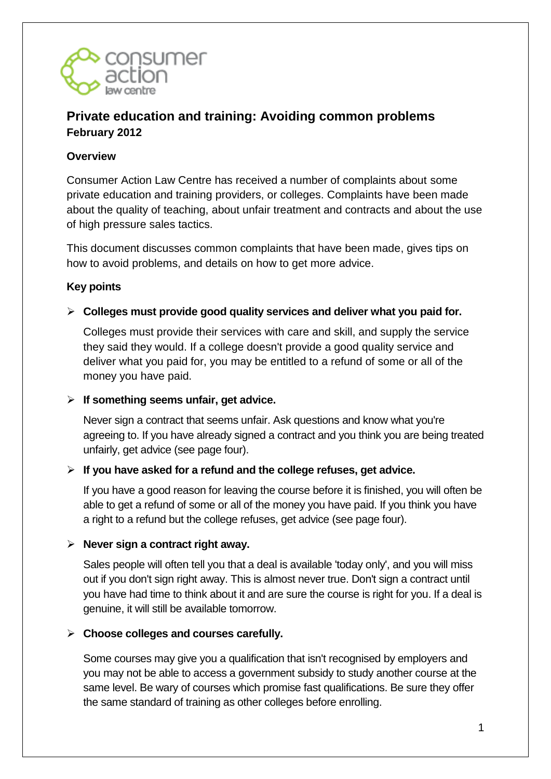

# **Private education and training: Avoiding common problems February 2012**

### **Overview**

Consumer Action Law Centre has received a number of complaints about some private education and training providers, or colleges. Complaints have been made about the quality of teaching, about unfair treatment and contracts and about the use of high pressure sales tactics.

This document discusses common complaints that have been made, gives tips on how to avoid problems, and details on how to get more advice.

### **Key points**

**Colleges must provide good quality services and deliver what you paid for.** 

Colleges must provide their services with care and skill, and supply the service they said they would. If a college doesn't provide a good quality service and deliver what you paid for, you may be entitled to a refund of some or all of the money you have paid.

#### **If something seems unfair, get advice.**

Never sign a contract that seems unfair. Ask questions and know what you're agreeing to. If you have already signed a contract and you think you are being treated unfairly, get advice (see page four).

#### **If you have asked for a refund and the college refuses, get advice.**

If you have a good reason for leaving the course before it is finished, you will often be able to get a refund of some or all of the money you have paid. If you think you have a right to a refund but the college refuses, get advice (see page four).

#### **Never sign a contract right away.**

Sales people will often tell you that a deal is available 'today only', and you will miss out if you don't sign right away. This is almost never true. Don't sign a contract until you have had time to think about it and are sure the course is right for you. If a deal is genuine, it will still be available tomorrow.

#### **Choose colleges and courses carefully.**

Some courses may give you a qualification that isn't recognised by employers and you may not be able to access a government subsidy to study another course at the same level. Be wary of courses which promise fast qualifications. Be sure they offer the same standard of training as other colleges before enrolling.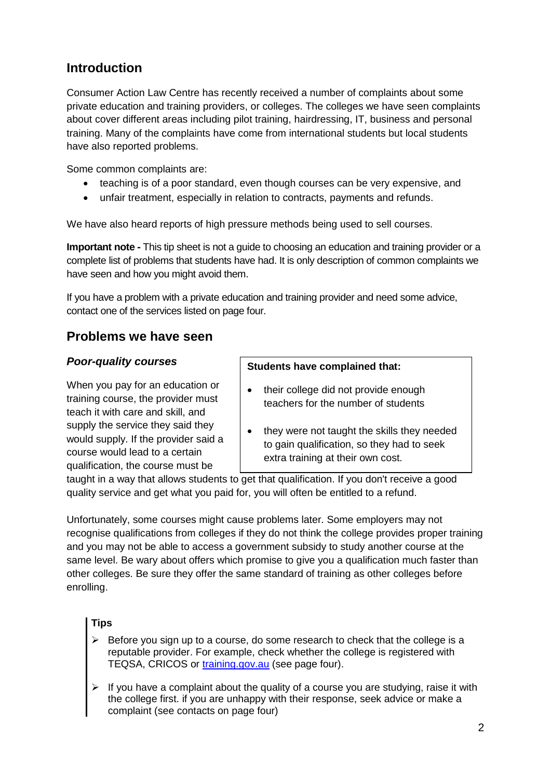# **Introduction**

Consumer Action Law Centre has recently received a number of complaints about some private education and training providers, or colleges. The colleges we have seen complaints about cover different areas including pilot training, hairdressing, IT, business and personal training. Many of the complaints have come from international students but local students have also reported problems.

Some common complaints are:

- teaching is of a poor standard, even though courses can be very expensive, and
- unfair treatment, especially in relation to contracts, payments and refunds.

We have also heard reports of high pressure methods being used to sell courses.

**Important note -** This tip sheet is not a guide to choosing an education and training provider or a complete list of problems that students have had. It is only description of common complaints we have seen and how you might avoid them.

If you have a problem with a private education and training provider and need some advice, contact one of the services listed on page four.

# **Problems we have seen**

### *Poor-quality courses*

When you pay for an education or training course, the provider must teach it with care and skill, and supply the service they said they would supply. If the provider said a course would lead to a certain qualification, the course must be

#### **Students have complained that:**

- their college did not provide enough teachers for the number of students
- they were not taught the skills they needed to gain qualification, so they had to seek extra training at their own cost.

taught in a way that allows students to get that qualification. If you don't receive a good quality service and get what you paid for, you will often be entitled to a refund.

Unfortunately, some courses might cause problems later. Some employers may not recognise qualifications from colleges if they do not think the college provides proper training and you may not be able to access a government subsidy to study another course at the same level. Be wary about offers which promise to give you a qualification much faster than other colleges. Be sure they offer the same standard of training as other colleges before enrolling.

#### **Tips**

- $\triangleright$  Before you sign up to a course, do some research to check that the college is a reputable provider. For example, check whether the college is registered with TEQSA, CRICOS or [training.gov.au](http://training.gov.au/) (see page four).
- $\triangleright$  If you have a complaint about the quality of a course you are studying, raise it with the college first. if you are unhappy with their response, seek advice or make a complaint (see contacts on page four)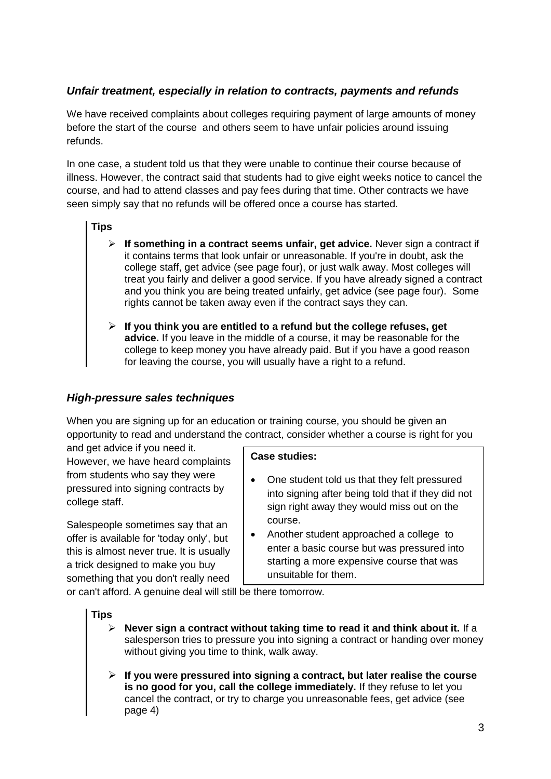## *Unfair treatment, especially in relation to contracts, payments and refunds*

We have received complaints about colleges requiring payment of large amounts of money before the start of the course and others seem to have unfair policies around issuing refunds.

In one case, a student told us that they were unable to continue their course because of illness. However, the contract said that students had to give eight weeks notice to cancel the course, and had to attend classes and pay fees during that time. Other contracts we have seen simply say that no refunds will be offered once a course has started.

#### **Tips**

- **If something in a contract seems unfair, get advice.** Never sign a contract if it contains terms that look unfair or unreasonable. If you're in doubt, ask the college staff, get advice (see page four), or just walk away. Most colleges will treat you fairly and deliver a good service. If you have already signed a contract and you think you are being treated unfairly, get advice (see page four). Some rights cannot be taken away even if the contract says they can.
- **If you think you are entitled to a refund but the college refuses, get advice.** If you leave in the middle of a course, it may be reasonable for the college to keep money you have already paid. But if you have a good reason for leaving the course, you will usually have a right to a refund.

#### *High-pressure sales techniques*

When you are signing up for an education or training course, you should be given an opportunity to read and understand the contract, consider whether a course is right for you

and get advice if you need it. However, we have heard complaints from students who say they were pressured into signing contracts by college staff.

Salespeople sometimes say that an offer is available for 'today only', but this is almost never true. It is usually a trick designed to make you buy something that you don't really need

#### **Case studies:**

- One student told us that they felt pressured into signing after being told that if they did not sign right away they would miss out on the course.
- Another student approached a college to enter a basic course but was pressured into starting a more expensive course that was unsuitable for them.

or can't afford. A genuine deal will still be there tomorrow.

#### **Tips**

- **Never sign a contract without taking time to read it and think about it.** If a salesperson tries to pressure you into signing a contract or handing over money without giving you time to think, walk away.
- **If you were pressured into signing a contract, but later realise the course is no good for you, call the college immediately.** If they refuse to let you cancel the contract, or try to charge you unreasonable fees, get advice (see page 4)